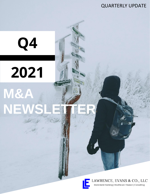# QUARTERLY UPDATE

# **2021 M&A NEW**

**Q4**



LAWRENCE, EVANS & CO., LLC Investment Banking | Healthcare Finance | Consulting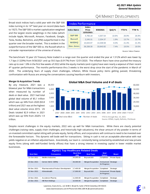## Q4 MARKET DEVELOPMENTS

Broad stock indices had a solid year with the S&P 500 index turning in its 14<sup>th</sup> best year on record (data back to 1927). The S&P 500 is market capitalization weighted and the largest stocks weightings in the index (which include Apple, Microsoft, Amazon, Facebook, Google, Tesla, Nvidia, Berkshire, and JPM) outperformed in the quarter over the broader market. This is evident in the outperformance of the S&P 500 vs. the Russell which is a broader representation of the universe of stocks.

|                   | <b>Index Performance</b> |                                            |           |       |       |       |  |  |  |  |  |
|-------------------|--------------------------|--------------------------------------------|-----------|-------|-------|-------|--|--|--|--|--|
| <b>Index Name</b> |                          | <b>Index</b><br><b>Price</b><br>12/31/2021 | 9/30/2021 | QoQ % | YTD%  | TTM % |  |  |  |  |  |
|                   | <b>S&amp;P 500</b>       | 4.766.18                                   | 4.307.54  | 10.6% | 26.9% | 26.9% |  |  |  |  |  |
|                   | <b>Russell</b>           | 2,245.31                                   | 2,204.37  | 1.9%  | 13.7% | 13.7% |  |  |  |  |  |
|                   | <b>NASDAQ</b>            | 15.644.97                                  | 14.448.58 | 8.3%  | 21.4% | 21.4% |  |  |  |  |  |
|                   | Dow Jones                | 36.338.30                                  | 33.843.92 | 7.4%  | 19.5% | 19.5% |  |  |  |  |  |

*Source: Yahoo Finance*

The benchmark 10 year US Treasury Note traded in a range over the quarter and ended the year at 1.512% which was lower by 1.7 bps (1.529%) from 9/30/2021 and up 59.5 bps (0.917%) from 12/31/2020. The inflation fears have since pushed the treasury rate up to over 1.8% in the first few weeks of 2022 while the equity markets (and crypto) have seen nearly a wipeout of their recent 4<sup>th</sup> quarter performance. The months performance thru 3 weeks is the worst drop since the start of the pandemic in March of 2020. The underlying fears of supply chain challenges, inflation, White House policy items getting passed, threatening confrontation with Russia are among the conversations causing heartburn with investors.

#### **Merger & Acquisition Trends**

By any measure, 2021 was a blowout year for M&A transactions when measured by number of deals or deal value. 2021 had total global deal volume of \$5.1 trillion which was up 34% from 2020 (\$3.8 trillion) and 2021 was at the highest deal value volume since 2015. US Deals totaled \$2.9 trillion in 2021 which was up 55% from 2020's 1.9 trillion.



Despite recent challenges in the equity markets, 2022 sets up well for M&A transactions. While there are clearly potential challenges (raising rates, supply chain challenges, and historically high valuations), the shear amount of dry powder in terms of un-invested committed capital sitting with private equity, family offices, and corporations will continue to need to be invested over the foreseeable horizon. This dynamic will bode well for transactions. Sitting in cash is not an acceptable alternative with real yields negative on an inflation adjusted basis. Anecdotally, our team is constantly being contacted by established and new private equity firms (along with well-funded family offices) that have a strong interest in investing capital in lower middle market businesses.

| <b>4Q2021 Top Healthcare Related Deals</b> |                                           |                          |                    |                           |                |  |  |  |
|--------------------------------------------|-------------------------------------------|--------------------------|--------------------|---------------------------|----------------|--|--|--|
| <b>Deal Date</b>                           | <b>Companies</b>                          | <b>Deal Size</b><br>(SB) | <b>Deal Type</b>   | Deal<br><b>Status</b>     | <b>Buyer</b>   |  |  |  |
| 21-Oct-2021                                | Medline Industries                        | 34.000.00                | Buyout/LBO         | Completed                 | Private Equity |  |  |  |
| 20-Dec-2021                                | Cerner (NAS: CERN)                        | 28,300,00                | Merger/Acquisition | Announced<br>/In Progress | Strategic      |  |  |  |
| 08-Dec-2021                                | <b>Pharmaceutical Product Development</b> | 17.400.00                | Merger/Acquisition | Completed                 | Strategic      |  |  |  |
| 22-Nov-2021                                | Athenahealth                              | 17.000.00                | Buyout/LBO         | Announced<br>/In Progress | Private Equity |  |  |  |
| 19-Nov-2021                                | Acceleron Pharma                          | 11.500.00                | Merger/Acquisition | Completed                 | Strategic      |  |  |  |
| 13-Dec-2021                                | Hill-Rom Holdings                         | 10.500.00                | Merger/Acquisition | Completed                 | Strategic      |  |  |  |

Lawrence, Evans & Co., LLC ● 88 E. Broad St, Suite 1750 ● Columbus OH 43215 www.lawrenceevans.com ● Phone 614.448.1304 ● @LawrenceEvansCo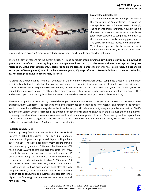

#### **Supply Chain Challenges**

The common theme we are hearing in the news is the issues with the "Supply Chain". I'd argue the average American had never heard of supply chains prior to this recent time. A supply chain is the network or system that moves or distributes goods from suppliers to companies and finally to the end consumer. Walk into any grocery store and you will see empty shelves and higher prices. Try to buy an appliance that broke and see what your limited options are (my recent conversation

was to order and expect a 6 month estimated delivery time; I don't want to do dishes for that long).

There is a litany of reasons for the current situation. In no particular order: **1) China's covid-zero policy reducing output of goods and therefore 2) reducing imports of components into the US, 3) the semiconductor shortage, 4) the great resignation, 5) the great retirement, 6) lack of suitable childcare for parents to go to work, 7) Covid fears, 8) bottlenecks at the port of Los Angeles, 9) lack of truckers to move goods, 10) wage inflation, 11) cost inflation, 12) too much stimulus, 13) not enough stimulus in other areas, 14 +) etc.**

I'd argue the situation stems from initial shutdown of the economy in March/April 2020. Companies closed or at a minimum significantly pulled back production, the economy was infused with significant monetary and fiscal stimulus, consumers increased savings and were unable to spend on services / travel, and inventory were drawn down across the system. All the while, the world shifted. Companies and Employees alike are both now reevaluating how we work, what is important, what are our goals. Then we began to open the economy, but it has not been a complete business as usual (and potentially never will be).

The eventual opening of the economy created challenges. Consumers consumed more goods vs. services and not everyone reengaged with the workforce. The reopening and new paradigm has been challenging for companies and households to navigate. We do not think there will be one single bullet that fixes the supply chain. We are currently navigating a spike in cases from COVID-19's omicron variant which is disrupting the situation further and will begin to show up in the data over the coming months. Ultimately over time, the economy and consumers will stabilize at a new post-covid level. Excess savings will be depleted, and consumers will need to re-engage with the workforce, the next variant will come and go but the society will learn to live with Covid, and businesses will adapt (or die) to the new operating situation.

#### **Fed Rate Expectations**

There is growing fear in the marketplace that the Federal Reserve is behind the curve. The Fed's dual mandate (maximum employment and price stability) is looking a little out of whack. The December employment report showed headline unemployment at 3.9% and the December CPI headline was 7.0% which is the highest print since June 1982. It could be argued that we are not at "full employment" because even though the headline is a 3.9% unemployment, the labor force participation rate stands at 61.9% which is 2.9 million less workers than in Feb 2020, prior to the Pandemic. It is clear we do not have price stability. Regardless of which camp you are in (transitory inflation spike or non-transitory inflation spike), consumers and businesses must adapt to the higher costs for energy, food, employment, raw materials and rent in real time.



#### Difference in total U.S. employment from pre-pandemic levels in Feb. '20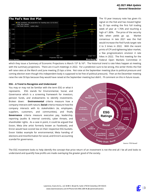

The 10 year treasury note has given it's signal on the Fed and has moved higher by 25 bps ending the first full trading week of year at 1.76% and touching a high of 1.80%. The price of the security falls when yields go up. Market consensus in late 2021 was the Fed would increase the Fed Funds target rate 2 to 3 times in 2022. With the recent prints of CPI and tightening labor market, a few prognosticators envision 4 rate hikes in 2022. The first meeting for the Federal Open Markets Committee in

which they issue a Summary of Economic Projections is March 15<sup>th</sup> & 16<sup>th</sup>. The historical trend is rate hikes happen at meeting with the summary projections. There are 4 such meetings in 2022. For a prediction sure to be wrong, this writer thinks the Fed will raise rates at the March and June meeting 25 bps a time. Not raise at the September meeting (due to political pressure and coming election even though this independent body is supposed to be free of political pressure). Then at the December meeting raise the rate 50 bps because they would have raised at the September meeting but didn't. I'll comment on this in future issues.

#### **ESG – A Trend to Recognize and Understand**

You may or may not be familiar with the term ESG or what it represents. ESG stands for Environmental, Social, and Governance which is a screening framework for investors, pension funds, and endowments to identify investments. Broken down: **Environmental** criteria measure how a company interacts with nature, **Social** criteria measure how the company interacts with its stakeholders (ie, employees, suppliers, customers, and communities), and finally **Governance** criteria measure executive pay, leadership, reporting (audits & internal controls), cyber threats, and shareholder rights. As a case in point, it could be argued that Exxon, Meta (the artist formerly known as Facebook), and Enron would have scored low on their respective ESG buckets. Exxon Valdez example for environmental, Meta handing of elections and misinformation for social, and Enron's accounting scandal for governance.



The ESG movement looks to help identify the concept that price return of an investment is not the end all / be all and looks to understand and quantify how profits are made overlaying the greater good of the society.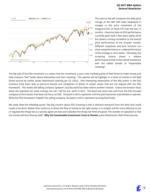

The chart to the left compares the daily price change of the S&P 500 index (displayed in orange) vs the price movement of the Vanguard ESG US Stock ETF over the last 12 months. Historical data on ESG performance currently goes back a few years (early 2019) but shows a strong correlation to the overall price performance of the broader market. Different snapshots and time horizons can show outperformance or underperformance of the strategy vs. the market. Ultimately, the screening criteria shows a relative performance similar to the overall market but with the added benefit of "responsible investing".

The flip side of the ESG movement is a notion that the movement is just a new marketing ploy of Wall Street to make money and help investors "feel" better about themselves and their investing. This opinion will be highlight in a series of articles in the Wall Street Journal by author James Mackintosh (starting Jan 23, 2022). One interesting observation of the WSJ author is the ESG investors have been able to pressure boards and companies to divest of certain assets that are not aligned with the ESG framework. This makes the selling company "greener", but the asset has been sold to another investor. Unless the investor shuts down the operation (ie. loses money), the net / net for the earth is zero. The fossil fuel plant was sold from the ESG focused company to the investor that does not focus on ESG. The plant is still in operation until the plant becomes unprofitable to operate. While the ESG framework "helped" the selling company, the plant is still in operation burning fossil fuels.

We really liked the following quote: "My big concern about ESG investing is that it distracts everyone from the work that really needs to be done. Rather than vainly try to direct the flow of money to the right causes, it is simpler and far more effective to tax or regulate the things we as a society agree are bad and subsidize the things we think are good. The wonder of capitalism is that the money will then flow by itself." **Why the Sustainable Investment Craze is Flawed**, James Mackintosh, Wall Street Journal.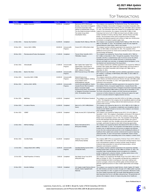## TOP TRANSACTIONS

| <b>Deal Date</b> | <b>Companies</b>                   | <b>Deal Size</b> | <b>Deal Status</b>       | <b>Investors</b>                                                                                                                                                                                              | <b>Deal Synopsis</b>                                                                                                                                                                                                                                                                                                                                                                                                                                                                                                                                                                                                                                                                                                                                                                                               |
|------------------|------------------------------------|------------------|--------------------------|---------------------------------------------------------------------------------------------------------------------------------------------------------------------------------------------------------------|--------------------------------------------------------------------------------------------------------------------------------------------------------------------------------------------------------------------------------------------------------------------------------------------------------------------------------------------------------------------------------------------------------------------------------------------------------------------------------------------------------------------------------------------------------------------------------------------------------------------------------------------------------------------------------------------------------------------------------------------------------------------------------------------------------------------|
| 21-Oct-2021      | Medline Industries                 | 34,000.00        | Completed                | Blackstone (NYS: BX) (Joseph<br>Baratta), Government of Singapore<br>Investment Corporation (GIC),<br>Hellman & Friedman(Allen Thorpe),<br>The Carlyle Group (NAS:<br>CG)(Stephen Wise)                       | The company w as acquired by The Blackstone Group, The Carlyle Group,<br>Hellman & Friedman, Government of Singapore Investment Corporation (GIC)<br>and The Abu Dhabi Investment Authority through a \$34 billion LBO on October<br>21, 2021. The transaction values the company at an estimated \$42.5 billion. In<br>The Abu Dhabi Investment Authority, Support of the transaction, the company received \$8.27 billion of debt<br>financing in the form of a \$7.27 billion term loan B and a \$1 billion revolver<br>facility from Bank of America, Barclays Bank, Jefferies Finance and other<br>lenders. The investment w ill be used to expand its product offerings,<br>accelerate international expansion and continue to make new infrastructure<br>investments to strengthen its global supply chain. |
| 14-Dec-2021      | Kansas City Southern               | 31,000.00        | Completed                | Canadian Pacific Railw ay (TSE: CP)                                                                                                                                                                           | The company w as acquired by Canadian Pacific Railw ay (TSE: CP) for \$31<br>billion on December 14, 2021. The acquisition creates the only single-line<br>railroad linking the United States, Mexico and Canada.                                                                                                                                                                                                                                                                                                                                                                                                                                                                                                                                                                                                  |
| 20-Dec-2021      | Cerner (NAS: CERN)                 | 28,300.00        | Announced/In<br>Progress | Oracle (NYS: ORCL) (Safra Catz)                                                                                                                                                                               | The company reached a definitive agreement to be acquired by Oracle (NYS:<br>ORCL) for \$28.3 billion on December 20, 2021. The acquisition offers<br>additional revenue grow th for Oracle and accelerates the pace of its product<br>and technology development.                                                                                                                                                                                                                                                                                                                                                                                                                                                                                                                                                 |
| 08-Dec-2021      | Pharmaceutical Product Development | 17,400.00        | Completed                | Thermo Fisher Scientific (NYS:<br>TMO)(Marc Casper)                                                                                                                                                           | The company w as acquired by Thermo Fisher Scientific (NYS: TMO) for<br>\$17.4 billion on December 8, 2021. Through this acquisition, Thermo Fisher<br>Scientific will offer a comprehensive suite of services across the clinical<br>development spectrum from scientific discovery, to assessing safety,<br>efficacy and health care outcomes, to managing clinical trial logistics, to the<br>development and manufacturing of the drug product.                                                                                                                                                                                                                                                                                                                                                                |
| 22-Nov-2021      | Athenahealth                       | 17,000.00        | Announced/In<br>Progress | Bain Capital, Bain Capital Tech<br>Opportunities, Government of<br>Singapore Investment Corporation<br>(GIC), Hellman & Friedman                                                                              | The company entered into a definitive agreement to be acquired by Hellman &<br>Friedman, Bain Capital, Bain Capital Tech Opportunities and Government of<br>Singapore Investment Corporation (GIC) through a \$17 billion LBO on<br>November 22, 2021.                                                                                                                                                                                                                                                                                                                                                                                                                                                                                                                                                             |
| 20-Dec-2021      | Bank of the West                   | 16,300.00        | Announced/In<br>Progress | BMO Financial Group (TSE: BMO)                                                                                                                                                                                | BMO Financial Group (TSE: BMO) reached a definitive agreement to acquire<br>the company, a subsidiary of BNP Paribas (PAR: BNP), for \$16.3 billion on<br>December 20, 2021.                                                                                                                                                                                                                                                                                                                                                                                                                                                                                                                                                                                                                                       |
| 15-Nov-2021      | CyrusOne (NAS: CONE)               | 15,000.00        | Announced/In<br>Progress | Global Infrastructure<br>Partners (William Brilliant), Kohlberg<br>Kravis Roberts (NYS:<br>KKR) (Waldemar Szlezak)                                                                                            | The company entered into a definitive agreement to be acquired by Kohlberg<br>Kravis Roberts and Global Infrastructure Partners through a \$15 billion public-<br>to-private LBO on November 15, 2021. KKR Capital Markets provided debt<br>financing for the transaction.                                                                                                                                                                                                                                                                                                                                                                                                                                                                                                                                         |
| 08-Nov-2021      | McAfee (NAS: MCFE)                 | 14.000.00        | Announced/In<br>Progress | Advent International(Bryan Taylor),<br>Canada Pension Plan Investment<br>Board, Crosspoint Capital<br>Partners (Greg Clark), Government<br>of Singapore Investment Corporation<br>(GIC), Permira(Brian Ruder) | The company entered into a definitive agreement to be acquired by Advent<br>International, Permira, Crosspoint Capital Partners, Canada Pension Plan<br>Investment Board and Government of Singapore Investment Corporation (GIC)<br>through an estimated \$14 billion public-to-private LBO on November 8, 2021.<br>The funds will provide the company with both financial and operational<br>resources to further enhance its consumer offering and capture the rapid<br>grow th in consumer demand for digital protection services.                                                                                                                                                                                                                                                                             |
| 01-Nov-2021      | MailChimp                          | 12,000.00        | Completed                | Intuit (NAS: INTU) (Sasan Goodarzi)                                                                                                                                                                           | The company w as acquired by Intuit (NAS: INTU) for \$12 billion on November<br>1, 2021. The integration of the company into the QuickBooks platform w ill help<br>address these issues, providing small and mid-market businesses with tools<br>to pow er their success.                                                                                                                                                                                                                                                                                                                                                                                                                                                                                                                                          |
| 19-Nov-2021      | Acceleron Pharma                   | 11,500.00        | Completed                | Merck & Co. (NYS: MRK)(Robert<br>Davis)                                                                                                                                                                       | The company w as acquired by Merck & Co. (NYS: MRK) for \$11.5 billion on<br>November 19, 2021. The acquisition complements and strengthens Merck's<br>Cardiovascular Pipeline and give an access to the company's rare disease<br>drug candidate, sotatercept.                                                                                                                                                                                                                                                                                                                                                                                                                                                                                                                                                    |
| 01-Nov-2021      | <b>VEREIT</b>                      | 11,000.00        | Completed                | Realty Income (NYS: O) (Sumit Roy)                                                                                                                                                                            | The company w as acquired by Realty Income (NYS: O) for \$11 billion on<br>November 1, 2021. The company's shareholders will receive 0.705 shares of<br>Realty Income stock and will own 30% of the combined company, while<br>Realty Income shareholders w ill ow n 70%. The acquisition w ill help Realty<br>Income add meaningful diversification that further enables new grow the<br>avenues, strengthen cash flow durability and provide significant financial<br>synergies, particularly through accretive debt refinancing opportunities.                                                                                                                                                                                                                                                                  |
| 13-Dec-2021      | Hill-Rom Holdings                  | 10,500.00        | Completed                | Baxter International (NYS:<br>BAX)(Jose Almeida)                                                                                                                                                              | The company w as acquired by Baxter International (NYS: BAX) for \$10.5<br>billion on December 13, 2021. The acquisition will enable Baxter to provide a<br>broader array of medical products and services to patients and clinicians<br>across the care continuum and around the w orld, facilitating the delivery of<br>healthcare that is patient and customer-centered and focused on improving<br>clinical outcomes. As part of the purchase consideration, Baxter w ill pay<br>\$156.00 in cash for each outstanding share of the company's common stock.                                                                                                                                                                                                                                                    |
| 30-Dec-2021      | CoreSite Realty                    | 10,100.00        | Completed                | American Tow er (NYS:<br>AMT) (Thomas Bartlett)                                                                                                                                                               | The company (BER: 07H) w as acquired by American Tow er (NYS: AMT) for<br>\$10.1 billion on December 30, 2021. The transaction will help American Tow er<br>to be w ell-positioned to address evolving customer needs through an<br>enhanced value proposition for netw ork and cloud providers, service<br>integrators and enterprise customers.                                                                                                                                                                                                                                                                                                                                                                                                                                                                  |
| 12-Oct-2021      | Umpqua Bank (NAS: UMPQ)            | 8,200.00         | Announced/In<br>Progress | Columbia Banking System (NAS:<br>COLB) (Clint Stein)                                                                                                                                                          | The company reached a definitive agreement to be acquired by Columbia<br>Banking System (NAS: COLB) for an \$8.2 Billion on October 12, 2021. The<br>acquisition helps Columbia Banking System strengthens its competitive<br>position in high-grow th, attractive markets, including market shares in the<br>Seattle, Portland, and Sacramento metro areas.                                                                                                                                                                                                                                                                                                                                                                                                                                                       |
| 22-Oct-2021      | Retail Properties of America       | 7,500.00         | Completed                | Kite Realty Group Trust (NYS:<br>KRG)(John Kite)                                                                                                                                                              | The company w as acquired by Kite Realty Group Trust (NYS: KRG) for \$7.5<br>billion on October 22, 2021. The acquisition will help both the companies to<br>provide immediate accretion to earnings per share upon realizing cash<br>expense synergies, enhance the portfolio quality and diversification and<br>generate significant presence in value creation opportunities and strategic<br>markets.                                                                                                                                                                                                                                                                                                                                                                                                          |
| 24-Nov-2021      | Inovalon Holdings                  | 7,300.00         | Completed                | 22C Capital, Insight Partners (Deven<br>Parekh), Nordic Capital(Fredrik<br>Näslund)                                                                                                                           | The company w as acquired by Insight Partners, Nordic Capital, 22C Capital<br>Mr. Keith Dunleavy and other investors through a \$7.3 billion public-to-private<br>LBO on November 24, 2021. In support of the transaction, Blackstone Credit,<br>Ow I Rock Capital Corporation BDC and Apollo Global Management provided<br>debt financing in the form of a \$3 billion unitranche loan. The partnership will<br>advance the company's mission of empow ering data-driven healthcare.                                                                                                                                                                                                                                                                                                                              |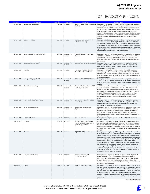| <b>Deal Date</b> | <b>Companies</b>                    | <b>Deal Size</b> | <b>Deal Status</b>       | <b>Investors</b>                                                                             | <b>Deal Synopsis</b>                                                                                                                                                                                                                                                                                                                                                                                                                                                                                                                                                                                                                                                                                                                                                                                                                                                                                                                            |
|------------------|-------------------------------------|------------------|--------------------------|----------------------------------------------------------------------------------------------|-------------------------------------------------------------------------------------------------------------------------------------------------------------------------------------------------------------------------------------------------------------------------------------------------------------------------------------------------------------------------------------------------------------------------------------------------------------------------------------------------------------------------------------------------------------------------------------------------------------------------------------------------------------------------------------------------------------------------------------------------------------------------------------------------------------------------------------------------------------------------------------------------------------------------------------------------|
| 02-Dec-2021      | Enable Midstream Partners           | 7,200.00         | Completed                | Energy Transfer (NYS: ET) (Marshall<br>McCrea)                                               | The company w as acquired by Energy Transfer (NYS: ET) for \$7.2 billion on<br>December 2, 2021. Under the terms of the agreement, the company's common<br>unitholders will receive 0.8595 Energy Transfer Partners common units for<br>each common unit. The transaction also included a \$10 million cash payment<br>for the company's general partner. The acquisition strengthens Energy<br>Transfer's midstream and gas transportation systems and also boosts its gas<br>gathering and processing assets in the Arkoma basin across Oklahoma and<br>Arkansas as well as in the Haynesville Shale in East Texas and North<br>Louisiana.                                                                                                                                                                                                                                                                                                    |
| 23-Nov-2021      | <b>TracFone Wireless</b>            | 6,900.00         | Completed                | Verizon Communications (NYS:<br>VZ)(Hans Vestberg)                                           | The company, a subsidiary of América Móvil (MEX: AMXA) w as acquired by<br>Verizon Communications (NYS: VZ) for \$6.9 billion on November 23, 2020.<br>Verizon paid \$3.125 billion in cash and \$3.125 billion in stock, América Móvil<br>w ill receive a contingent payout of \$650 million upon the completion of future<br>performance terms. The acquisition expands Verizon's portfolio into the value<br>segment, bringing access to its w ireless netw ork and comprehensive suite of<br>mobility products and services to a new customer base.                                                                                                                                                                                                                                                                                                                                                                                         |
| 14-Dec-2021      | Terminix Global Holdings (NYS: TMX) | 6,700.00         | Announced/In<br>Progress | Rentokil Initial (LON: RTO) (Andrew<br>Ransom)                                               | The company reached a definitive agreement to be acquired by Rentokil Initial<br>(LON: RTO) for \$6.7 billion on December 14, 2021. The acquisition will help<br>Rentokil Initial to become the global leader in commercial, residential and<br>termite pest control, and a leader in North America, the w orld's largest pest<br>control market.                                                                                                                                                                                                                                                                                                                                                                                                                                                                                                                                                                                               |
| 15-Dec-2021      | CMC Materials (NAS: CCMP)           | 6,500.00         | Announced/In<br>Progress | Entegris (NAS: ENTG)(Bertrand Loy)                                                           | The company reached a definitive agreement to be acquired by Entegris<br>(NAS: ENTG) for \$6.5 billion on December 15, 2021. The acquisition will<br>enable Entegris to bring to market a broader array of innovative and high-<br>value solutions, at a faster pace.                                                                                                                                                                                                                                                                                                                                                                                                                                                                                                                                                                                                                                                                           |
| 14-Oct-2021      | Medallia                            | 6,400.00         | Completed                | Mubadala Investment Company,<br>Thoma Bravo(Peter Stefanski)                                 | The company w as acquired by Thoma Bravo and Mubadala Investment<br>Company through a \$6.4 billion public-to-private LBO on October 14, 2021.<br>Blackstone Credit, Apollo Capital Management, Thoma Bravo Credit, Antares<br>Capital and Kohlberg Kravis Roberts provided debt financing in the form of a<br>loan for the transaction.                                                                                                                                                                                                                                                                                                                                                                                                                                                                                                                                                                                                        |
| 22-Nov-2021      | Vonage Holdings (NAS: VG)           | 6,200.00         | Announced/In<br>Progress | Ericsson (STO: ERIC B)(E. Ekholm)                                                            | The company reached a definitive agreement to be acquired by Ericsson<br>(STO: ERIC B) for \$6.2 billion on November 22, 2021. The acquisition enables<br>Ericsson to expand its presence in w ireless enterprise and broaden its global<br>offerings.                                                                                                                                                                                                                                                                                                                                                                                                                                                                                                                                                                                                                                                                                          |
| 27-Oct-2021      | Scientific Games Lottery            | 6,050.00         | Announced/In<br>Progress | Brookfield Business Partners (TSE:<br>BBU.UN) (David Court)                                  | Brookfield Business Partners entered into a definitive agreement to acquire<br>the lottery business of Scientific Games, through a \$6.05 billion LBO on<br>October 27, 2021. The company will receive a contingent payout of \$225<br>million based on the achievement of certain EBITDA targets in 2022 and 2023.<br>In support of the transaction, debt financing was provided by Barclays,<br>Deutsche Bank Securities, BNP Paribas, Crédit Agricole Corporate &<br>Investment Bank, Macquarie Investment Management and RBC Capital<br>Markets.                                                                                                                                                                                                                                                                                                                                                                                            |
| 11-Oct-2021      | Aspen Technology (NAS: AZPN)        | 6,000.00         | Announced/In<br>Progress | Emerson (NYS: EMR) (Surendralal<br>Karsanbhai)                                               | The company reached a definitive agreement to be acquired by Emerson<br>(NYS: EMR) for \$6 billion on October 11, 2021. The acquisition will help the<br>companies to create a high-performance industrial softw are leader with<br>greater scale, capabilities and technologies.                                                                                                                                                                                                                                                                                                                                                                                                                                                                                                                                                                                                                                                               |
| 23-Dec-2021      | <b>Ortho-Clinical Diagnostics</b>   | 6,000.00         | Announced/In<br>Progress | Quidel (NAS: QDEL) (Douglas<br>Bryant)                                                       | The company reached a definitive agreement to be acquired by Quidel (NAS:<br>QDEL) for an undisclosed amount on December 23, 2021. The combined<br>organization will unite w orld-class technologies and platforms to benefit<br>customers with expanded access to clinical chemistry, immunoassay,<br>molecular diagnostics, immunohematology, donor screening and point-of-care<br>diagnostics offerings.                                                                                                                                                                                                                                                                                                                                                                                                                                                                                                                                     |
| 01-Nov-2021      | <b>BA Sports Nutrition</b>          | 5,600.00         | Completed                | Coca-Cola (NYS: KO)                                                                          | The company w as acquired by Coca-Cola (NYS: KO) for \$5.6 billion on<br>November 1, 2021.                                                                                                                                                                                                                                                                                                                                                                                                                                                                                                                                                                                                                                                                                                                                                                                                                                                      |
| 08-Oct-2021      | Cloudera                            | 5,300.00         | Completed                | Clayton, Dubilier & Rice(Jeffrey<br>Hawn), Kohlberg Kravis Roberts<br>(NYS: KKR) (John Park) | The company w as acquired by Clayton, Dubilier & Rice and Kohlberg Kravis<br>Roberts through a \$5.3 billion public-to-private LBO on October 8, 2021. J.P.<br>Morgan, Bank of America, and KKR Capital Markets provided \$2.39 billion of<br>debt financing in the form of a \$250 million revolver facility, a \$1.64 billion first<br>lien delayed draw n term loan and a \$500 million second lieb term loan for the<br>transaction.                                                                                                                                                                                                                                                                                                                                                                                                                                                                                                        |
| 30-Nov-2021      | Covanta                             | 5,300.00         | Completed                | EQT (STO: EQT) (Alex Darden)                                                                 | The company w as acquired by EQT through a \$5.3 billion public-to-private<br>LBO on November 30, 2021. The transaction w as supported by an estimated<br>\$3 billion of debt financing in the form of a senior secured term loan, senior<br>unsecured notes, senior unsecured bridge facility including backstop delayed<br>draw term and bridge loan facilities, and a revolving credit facility, a \$1.335<br>billion term loan B, and a \$100 million term loan C from Citizens Bank,<br>Barclays, BNP Paribas, Citigroup, Credit Suisse, Fifth Third Bank, Mtsubishi<br>UFJ Financial Group, Royal Bank of Canada, Stifel Financial, The Goldman<br>Sachs Group, and Truist. EQT will increase investments across the business,<br>including leveraging its existing asset base to move higher up the waste<br>value chain, upgrading equipment at existing plants to reduce emissions, and<br>furthering investments in host communities. |
| 01-Dec-2021      | ProQuest (United States)            | 5,300.00         | Completed                | Clarivate Analytics (NYS:<br>CLVT)(Jerre Stead)                                              | The company w as acquired by Clarivate Analytics (NYS: CLVT) for \$5.3<br>billion on December 1, 2021. The consideration for the acquisition is<br>approximately \$4.0 billion in cash and \$1.3 billion of equity. The acquisition<br>advances Clarivate Analytics' position as an information and analytics<br>provider fueling discovery and innovation by empow ering research-focused<br>organizations around the globe.                                                                                                                                                                                                                                                                                                                                                                                                                                                                                                                   |
| 09-Nov-2021      | Solenis                             | 5,250.00         | Completed                | Platinum Equity (Todd Golditch)                                                              | The company w as acquired by Platinum Equity through a \$5.25 billion LBO on<br>November 9, 2021. The transaction w as supported by an \$1.1 billion of debt<br>financing in the form of a cross border term loan B from Bof A Securities,<br>Jefferies Finance, and The Goldman Sachs Group. As part of the acquisition,<br>the company merged with Sigura, an existing Platinum Equity portfolio<br>company. The addition of Sigura positions the company as a more diversified<br>w ater treatment leader w ith increased profitability and attractive grow th<br>opportunities.                                                                                                                                                                                                                                                                                                                                                             |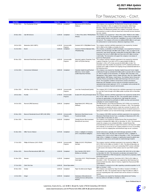| <b>Deal Date</b> | <b>Companies</b>                             | <b>Deal Size</b> | <b>Deal Status</b>       | <b>Investors</b>                                                                             | <b>Deal Synopsis</b>                                                                                                                                                                                                                                                                                                                                                                                                                                                                                                                                                                                                                                                                                                                                                       |
|------------------|----------------------------------------------|------------------|--------------------------|----------------------------------------------------------------------------------------------|----------------------------------------------------------------------------------------------------------------------------------------------------------------------------------------------------------------------------------------------------------------------------------------------------------------------------------------------------------------------------------------------------------------------------------------------------------------------------------------------------------------------------------------------------------------------------------------------------------------------------------------------------------------------------------------------------------------------------------------------------------------------------|
| 03-Nov-2021      | The Chamberlain Group                        | 5,000.00         | Completed                | Blackstone (NYS: BX)(Peter<br>Wallace)                                                       | The company w as acquired by The Blackstone Group through a \$5 billion<br>LBO on November 3, 2021. In support of the transaction, Wells Fargo,<br>Barclays, Citigroup and Deutsche Bank provided debt financing. The<br>investment from Blackstone positions the company with greater resources<br>and expertise to scale its softw are-based and connected services business<br>into new markets.                                                                                                                                                                                                                                                                                                                                                                        |
| 29-Dec-2021      | Oak Hill Advisors                            | 4,200.00         | Completed                | T. Row e Price (NAS: TROW) (Robert<br>Sharps)                                                | The company w as acquired by T. Row e Price (NAS: TROW) for \$4.2 billion<br>on December 29, 2021. The acquisition allow s T. Row e Price to broaden its<br>private markets business and add new capabilities in an area of client interest<br>and grow th. The company w ill receive an additional \$900 million in cash upon<br>the achievement of certain business milestones beginning in 2025.                                                                                                                                                                                                                                                                                                                                                                        |
| 28-Oct-2021      | Momentive (NAS: MNTV)                        | 4,130.00         | Announced/In<br>Progress | Zendesk (NYS: ZEN) (Mikkel Svane)                                                            | The company reached a definitive agreement to be acquired by Zendesk<br>(NYS: ZEN) for \$4.13 billion on October 28, 2021.                                                                                                                                                                                                                                                                                                                                                                                                                                                                                                                                                                                                                                                 |
| 01-Oct-2021      | Boomi                                        | 4,000.00         | Completed                | Francisco Partners (Dipanjan Deb),<br>TPG(Nehal Raj)                                         | The company, a subsidiary of Dell Technologies, w as acquired by Francisco<br>Partners and TPG through a \$4 billion LBO on May 2, 2021. In support of the<br>transaction, Sixth Street Specialty Lending BDC provided \$975 million of debt<br>financing in the form of a \$900 million term loan and a \$75 million revolving<br>credit facility. The transaction w ill support the company's next phase of<br>grow th as iPaaS pioneer.                                                                                                                                                                                                                                                                                                                                 |
| 05-Nov-2021      | Monmouth Real Estate Investment (NYS: MNR)   | 4,000.00         | Announced/In<br>Progress | Industrial Logistics Properties Trust<br>(NAS: ILPT)(John Murray)                            | The company reached a definitive agreement to be acquired by Industrial<br>Logistics Properties Trust (NAS: ILPT) for approximately \$4 billion on<br>November 5, 2021. ILPT w il also assume the \$409 million of debt. The<br>acquisition more than doubles the properties in ILPT's mainland portfolio and<br>expands ILPT's ability to benefit from ongoing strong fundamental tailw inds in<br>the industrial sector.                                                                                                                                                                                                                                                                                                                                                 |
| 12-Oct-2021      | Cornerstone OnDemand                         | 3,800.00         | Completed                | Clearlake Capital Group(Prashant<br>Mehrotra), Vector Capital<br>(California) (Andy Fishman) | The company w as acquired by Clearlake Capital Group and Vector Capital<br>(California) through an estimated \$3.8 billion public-to-private LBO on October<br>12, 2021. In support of the transaction, J.P. Morgan, BofA Securities, Ares<br>Management, Golub Capital, Antares Capital, Barclays, Blue Ow I Capital, BMO<br>Capital Markets, BNP Paribas, Credit Suisse, The Goldman Sachs Group and<br>Jefferies Finance provided \$2.12 billion debt financing in the form of a term<br>loan B. The acquisition combines Cornerstone's product and industry<br>leadership with Clearlake's proven softw are investment experience and<br>operational improvement approach, O.P.S., to strengthen and accelerate the<br>company's next phase of grow th and innovation. |
| 13-Dec-2021      | SPX Flow (NYS: FLOW)                         | 3,800.00         | Announced/In<br>Progress | Lone Star Funds (Donald Quintin)                                                             | The company (NYS: FLOW) entered into a definitive agreement to be acquired<br>by Lone Star Funds through a \$3.8 billion public-to-private LBO on December<br>13, 2021.                                                                                                                                                                                                                                                                                                                                                                                                                                                                                                                                                                                                    |
| 28-Oct-2021      | Purolite                                     | 3,700.00         | Announced/In<br>Progress |                                                                                              | Ecolab (NYS: ECL) (Christophe Beck) The company reached a definitive agreement to be acquired by Ecolab (NYS:<br>ECL) for \$3.7 billion on October 28, 2021. The acquisition allow s Ecolab to<br>increase its opportunities in the high grow th, high margin life sciences<br>businesses that include the purification of mRNA vaccines and monoclonal<br>antibodies for cancer-treatment drugs.                                                                                                                                                                                                                                                                                                                                                                          |
| 04-Oct-2021      | Rexnord (PMC Business)                       | 3,690.00         | Completed                | Regal Beloit (NYS: RRX) (Louis<br>Pinkham)                                                   | The PMC Business unit of Rexnord Industries (NYS: RXN) was acquired by<br>Regal Beloit (NYS: RBC) for \$3.69 billion on October 4, 2021. The acquisition<br>is expected to accelerate r&d and to create new avenues for grow th, with<br>an expanded focus outside of North America and an increased exposure to<br>high-grow th markets such as food and beverage, automation and aerospace.                                                                                                                                                                                                                                                                                                                                                                              |
| 20-Dec-2021      | Bluerock Residential Grow th REIT (ASE: BRG) | 3,600.00         | Announced/In<br>Progress | Blackstone Real Estate Income<br>Trust(Asim Hamid)                                           | The company (ASE: BRG) reached a definitive agreement to be acquired by<br>Blackstone Real Estate Income Trust, a subsidiary of Blackstone (NYS: BX),<br>for \$3.6 billion on December 20, 2021.                                                                                                                                                                                                                                                                                                                                                                                                                                                                                                                                                                           |
| 22-Nov-2021      | Ports America                                | 3,600.00         | Completed                | Canada Pension Plan Investment<br>Board(Scott Law rence)                                     | The company w as acquired by Canada Pension Plan Investment Board<br>through an estimated \$3.6 billion LBO on November 22, 2021. The transaction<br>values the company at an estimated \$4 billion. Canada Pension Plan<br>Investment Board w ill continue to support the business with long-term capital<br>and continuity of ow nership as the company deepens its focus on providing<br>service for all of its shipping lines and beneficial cargo ow ner customers.                                                                                                                                                                                                                                                                                                   |
| 01-Dec-2021      | Willis Tow ers Watson                        | 3,570.00         | Completed                | Arthur J. Gallagher & Company<br>(NYS: AJG)(Patrick Gallagher)                               | Certain reinsurance, specialty and retail brokerage operations of Willis<br>Tow ers Watson (NAS: WLTW) w ere acquired by Arthur J. Gallagher &<br>Company (NYS: AJG) for \$3.57 billion on December 1, 2021. The acquisition<br>helps Arthur J. Gallagher & Company to significantly expand its global value<br>proposition in reinsurance and broaden its retail brokerage footprint.                                                                                                                                                                                                                                                                                                                                                                                     |
| 27-Oct-2021      | Phillips 66 Partners (NYS: PSXP)             | 3,400.00         | Announced/In<br>Progress | Phillips 66 (NYS: PSX) (Robert<br>Herman)                                                    | The company reached a definitive agreement to be acquired by Phillips 66<br>(NYS: PSX) for \$3.4 billion on October 27, 2021. The deal will take place as<br>an all-stock transaction in w hich each outstanding PSXP common unitholder<br>would receive 0.50 shares of PSX common stock for each PSXP common<br>unit.                                                                                                                                                                                                                                                                                                                                                                                                                                                     |
| 28-Dec-2021      | Dicerna Pharmaceuticals (BER: DPL)           | 3,300.00         | Completed                | Novo Nordisk (CSE: NOVO<br>B)(Marcus Schindler)                                              | The company w as acquired by Novo Nordisk (CSE: NOVO B) for \$3.3 billion<br>on December 28, 2021. This transaction accelerates and expands Novo<br>Nordisk developement of RNAi therapeutics using Dicerna's proprietary GalXC<br>technology platform.                                                                                                                                                                                                                                                                                                                                                                                                                                                                                                                    |
| 01-Dec-2021      | Neustar                                      | 3,100.00         | Completed                | TransUnion (NYS: TRU) (Christopher<br>Cartw right)                                           | The company w as acquired by TransUnion (NYS: TRU) for \$3.1 billion on<br>December 1, 2021. The transaction w as supported by debt financing from<br>Deutsche Bank Securities, Bank of America, Capital One Financial and RBC<br>Capital Markets.                                                                                                                                                                                                                                                                                                                                                                                                                                                                                                                         |
| 07-Oct-2021      | Chief Oil & Gas                              | 3,000.00         | Rumor/Speculation        |                                                                                              | The company is rumored to be in talks regarding a potential acquisition for \$3<br>billion on October 7, 2021.                                                                                                                                                                                                                                                                                                                                                                                                                                                                                                                                                                                                                                                             |
| 30-Nov-2021      | Domtar                                       | 3,000.00         | Completed                | Paper Excellence(Joe Ragan)                                                                  | The company w as acquired by Paper Excellence Canada for \$3 billion on<br>November 30, 2021. The acquisition improves Paper Excellence's ability to<br>serve its expanding blue-chip customer base and its entrance in American<br>markets.                                                                                                                                                                                                                                                                                                                                                                                                                                                                                                                               |
| 14-Oct-2021      | Ginger                                       | 3,000.00         | Completed                | Headspace (Educational and<br>Training Services (B2C))(CeCe<br>Morken)                       | The company w as acquired by Headspace (Educational and Training<br>Services (B2C)) for \$3 billion on October 14, 2021.                                                                                                                                                                                                                                                                                                                                                                                                                                                                                                                                                                                                                                                   |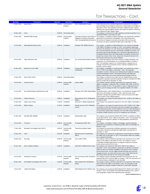| <b>Deal Date</b> | <b>Companies</b>                           | <b>Deal Size</b> | <b>Deal Status</b>       | <b>Investors</b>                                                                                            | <b>Deal Synopsis</b>                                                                                                                                                                                                                                                                                                                                                                                                                                                                                                                                                                                                   |
|------------------|--------------------------------------------|------------------|--------------------------|-------------------------------------------------------------------------------------------------------------|------------------------------------------------------------------------------------------------------------------------------------------------------------------------------------------------------------------------------------------------------------------------------------------------------------------------------------------------------------------------------------------------------------------------------------------------------------------------------------------------------------------------------------------------------------------------------------------------------------------------|
| 08-Dec-2021      | Ingram Micro                               | 3,000.00         | Announced/In<br>Progress | CMA CGM(Rodolphe Saadé)                                                                                     | CMA CGM entered into a definitive agreement to acquire the CLS shipw ire<br>and technology forw ard logistics businesses of Ingram Micro for \$3 billion on<br>December 8, 2021. This acquisition will further complement CEVA Logistics<br>offering in the contract logistics industry and support its objective to become<br>a top 5 global third-party logistics player.                                                                                                                                                                                                                                            |
| 30-Nov-2021      | Kofax                                      | 3,000.00         | Rumor/Speculation        |                                                                                                             | The company is rumored to be in talks regarding a potential acquisition for an<br>estimated \$3 billion on November 30, 2021.                                                                                                                                                                                                                                                                                                                                                                                                                                                                                          |
| 12-Nov-2021      | Manhattan Mini Storage                     | 3.000.00         | Announced/In<br>Progress | Cascade Investment, Government of<br>Singapore Investment Corporation<br>(GIC), StorageMart(Michael Burnam) | The company, a subsidiary of Edison Properties, has entered into a definitive<br>agreement to be acquired by StorageMart, via its financial sponsors<br>Government of Singapore Investment Corporation (GIC) and Cascade<br>Investment, through an estimated \$3 billion LBO on November 12, 2021.                                                                                                                                                                                                                                                                                                                     |
| 12-Oct-2021      | Moda Ingleside Energy Center               | 3,000.00         | Completed                | Enbridge (TSE: ENB) (Al Monaco)                                                                             | The company, a subsidiary of Moda Midstream, w as acquired by Enbridge<br>(TSE: ENB) for \$3 billion on October 12, 2021. The acquisition significantly<br>advances the Company's U.S. Gulf Coast export strategy and connectivity to<br>low-cost and long-lived reserves in the Permian and Eagle Ford basins. The<br>transaction also provides Enbridge with a 100 percent operating interest in<br>the Ingleside Energy Center and related pipeline and logistics infrastructure,<br>located near Corpus Christi, Texas, along with a 20 percent interest in the<br>670-thousand-barrel-per-day Cactus II Pipeline. |
| 05-Oct-2021      | Segra (Enterprise Unit)                    | 3,000.00         | Completed                |                                                                                                             | Cox Communications (Mark Greatrex) The commercial enterprise and carrier business of Segra (Charlotte), was<br>acquired by Cox Communications for an estimated \$3 billion on October 5,<br>2021. The acquisition supports Cox Communications's ongoing focus of<br>strategic infrastructure investments and its continued commitment to the<br>business services market.                                                                                                                                                                                                                                              |
| 01-Nov-2021      | Masterflex (Vernon Hills)                  | 2,900.00         | Completed                | Avantor (NYS: AVTR) (Michael<br>Stubblefield)                                                               | The company, a subsidiary of Antylia Scientific, w as acquired by Avantor<br>(NYS: AVTR) for \$2.9 billion on November 1, 2021. The acquisition<br>strengthens Avantor's offering across all bioproduction platforms including<br>monoclonal antibodies (mAbs), cell and gene therapy and mRNA and<br>supports both therapy and vaccine manufacturing including COVID-19.                                                                                                                                                                                                                                              |
| 12-Nov-2021      | Razer (HKG: 01337)                         | 2,900.00         | Rumor/Speculation        |                                                                                                             | The company is rumored to be in talks with CVC Capital Partners and its<br>management regarding a potential acquisition through an estimated \$2.9 billion<br>public-to-private LBO on November 12, 2021.                                                                                                                                                                                                                                                                                                                                                                                                              |
| 26-Oct-2021      | Kentucky Pow er                            | 2,846.00         | Announced/In<br>Progress | <b>Liberty Utilities</b>                                                                                    | The company reached a definitive agreement to be acquired by Liberty<br>Utilities, a subsidiary of Algonquin Pow er & Utilities (TSE: AQN), for \$2.846<br>billion on October 26, 2021. The acquisition is a part of Algonquin Pow er &<br>Utilities's grow th strategy and adds to its regulated footprint in the United<br>States.                                                                                                                                                                                                                                                                                   |
| 01-Oct-2021      | Infor Global Solutions (EAM Business Unit) | 2,820.00         | Completed                | Hexagon (STO: HEXA B) (Ola Rollén)                                                                          | The EAM business of Infor Global Solutions, w as acquired by Hexagon (STO:<br>HEXA B) for \$2.82 billion on October 1, 2021. Under the terms of the<br>agreement, Hexagon has paid \$792 million in cash and issued 132.6 million<br>series B shares to Infor Global Solutions.                                                                                                                                                                                                                                                                                                                                        |
| 29-Oct-2021      | Cadence Bancorp                            | 2,800.00         | Completed                | BancorpSouth (NYS: CADE)(James<br>Rollins)                                                                  | The company w as acquired by BancorpSouth (NYS: CADE) for \$2.8 billion on<br>October 29, 2021.                                                                                                                                                                                                                                                                                                                                                                                                                                                                                                                        |
| 01-Nov-2021      | Apple Leisure Group                        | 2,700.00         | Completed                | Hyatt (NYS: H) (Mark Hoplamazian)                                                                           | The company w as acquired by Hyatt (NYS: H) for \$2.7 billion on November 1,<br>2021.                                                                                                                                                                                                                                                                                                                                                                                                                                                                                                                                  |
| 14-Oct-2021      | <b>Blattner Energy</b>                     | 2,700.00         | Completed                | Quanta Services (NYS: PWR) (Earl<br>Austin)                                                                 | The company w as acquired by Quanta Services (NYS: PWR) for \$2.7 billion<br>on October 14, 2021. The transaction w ill further strengthen the company's<br>market leadership position, provide additional resources to take advantage of<br>next-generation opportunities emerging in the renew able energy market and<br>contribute to added, long-term success for employees and customers.                                                                                                                                                                                                                         |
| 01-Dec-2021      | Meredith (PINX: MDPEB)                     | 2,700.00         | Completed                | Dotdash (Neil Vogel)                                                                                        | The company w as acquired by Dotdash (NAS: BOUT), a subsidiary of Match<br>Group (NAS: MTCH), for \$2.7 billion on December 1, 2021. The acquisition will<br>help Dotdash to expand its collection of online publications and bulk up its<br>portfolio.                                                                                                                                                                                                                                                                                                                                                                |
| 03-Oct-2021      | TransCore                                  | 2,680.00         | Announced/In<br>Progress | ST Engineering (SES: S63)                                                                                   | The company, a subsidiary of Roper Technologies, reached a definitive<br>agreement to be acquired by ST Engineering (SES: S63) for \$2.68 billion on<br>October 3, 2021.                                                                                                                                                                                                                                                                                                                                                                                                                                               |
| 17-Dec-2021      | Bottomline Technologies (NAS: EPAY)        | 2,600.00         | Announced/In<br>Progress | Thoma Bravo(Holden Spaht)                                                                                   | The company has entered into a definitive agreement to be acquired by<br>Thoma Bravo through an estimated \$2.6 billion public-to-private LBO on<br>December 17, 2021.                                                                                                                                                                                                                                                                                                                                                                                                                                                 |
| 12-Nov-2021      | Carrix                                     | 2,500.00         | Completed                | Blackstone (NYS: BX)(Stephen<br>Bolze)                                                                      | The company w as acquired by The Blackstone Group through an estimated<br>\$2.5 billion LBO on November 12, 2021. The transaction values the company<br>at an estimated \$4.90 billion.                                                                                                                                                                                                                                                                                                                                                                                                                                |
| 23-Dec-2021      | Hey Dude                                   | 2,500.00         | Announced/In<br>Progress | Crocs (NAS: CROX)                                                                                           | The company reached a definitive agreement to be acquired by Crocs (NAS:<br>CROX) for \$2.5 billion on December 23, 2021. The company's casual,<br>comfortable and lightw eight products are aligned to long-term consumer<br>trends and are a perfect fit for Crocs.                                                                                                                                                                                                                                                                                                                                                  |
| 02-Dec-2021      | <b>Sirius Computer Solutions</b>           | 2,500.00         | Completed                | CDW (NAS: CDW)(Christine Leahy)                                                                             | The company w as acquired by CDW (NAS: CDW) for \$2.5 billion on<br>December 2, 2021. The acquisition is expected to accelerate and enhance<br>CDW's services and solutions capabilities in key grow th areas, including<br>hybrid infrastructure, security, digital and data innovation and cloud and<br>managed services, as well as add services scale, further balancing and<br>diversifying CDW's portfolio mix w ith enhanced profitability.                                                                                                                                                                     |
| 03-Oct-2021      | DentaQuest Ventures                        | 2,475.00         | Announced/In<br>Progress | Sun Life Financial (TSE: SLF) (Kevin<br>Strain)                                                             | The company reached a definitive agreement to be acquired by Sun Life<br>Financial (TSE: SLF) for \$2.475 billion on October 3, 2021. The transaction will<br>be financed using a combination of cash and debt.                                                                                                                                                                                                                                                                                                                                                                                                        |
| 06-Dec-2021      | GCP Applied Technologies (NYS: GCP)        | 2,300.00         | Announced/In<br>Progress | Saint-Gobain (PAR: SGO) (Benoit<br>Bazin)                                                                   | The company reached a definitive agreement to be acquired by Saint-Gobain<br>(PAR: SGO) for \$2.3 billion on December 6, 2021. The acquisition w ould<br>strengthen the company's position w orldwide in construction chemicals.                                                                                                                                                                                                                                                                                                                                                                                       |
| 04-Oct-2021      | Lehigh West Region                         | 2,300.00         | Completed                | Martin Marietta (NYS: MLM)(C. Nye)                                                                          | The company w as acquired by Martin Marietta (NYS: MLM) for \$2.3 billion on<br>October 4, 2021. The acquisition w ill enable Martin Marietta w ith a coast-to-<br>coast geographic footprint and expanded product offerings.<br>Source: Pitchbbook Data, Inc.                                                                                                                                                                                                                                                                                                                                                         |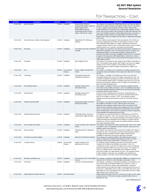| <b>Deal Date</b> | <b>Companies</b>                              | <b>Deal Size</b> | <b>Deal Status</b>       | <b>Investors</b>                                                                                                                                                                    | <b>Deal Synopsis</b>                                                                                                                                                                                                                                                                                                                                                                                                                                                                                                                                                                                                                                                      |
|------------------|-----------------------------------------------|------------------|--------------------------|-------------------------------------------------------------------------------------------------------------------------------------------------------------------------------------|---------------------------------------------------------------------------------------------------------------------------------------------------------------------------------------------------------------------------------------------------------------------------------------------------------------------------------------------------------------------------------------------------------------------------------------------------------------------------------------------------------------------------------------------------------------------------------------------------------------------------------------------------------------------------|
| 01-Nov-2021      | <b>Medical Solutions</b>                      | 2,300.00         | Completed                | Beecken Petty O'Keefe &<br>Company (Peter Magas), Caisse de<br>dépôt et placement du<br>Québec (Martin Laquerre),<br>Centerbridge Partners (Jeremy<br>Gelber), PNC Erieview Capital | The company w as acquired by Centerbridge Partners and Caisse de dépôt et<br>placement du Québec through an estimated \$2.3 billion LBO as of November<br>1, 2021. In support of the transaction, Jefferies Finance, Citizens Bank,<br>KeyBank, Mtsubishi UFJ Financial Group, Sumitomo Mitsui Banking, TD Bank<br>Group, UBS Group and Wells Fargo provided \$1.25 billion debt financing in the<br>form of a \$1.05 billion term loan B, a \$200 million delayed draw term loan B, a<br>\$180 million revolving credit line, and a \$270 million second lien term loan.<br>Beecken Petty O'Keefe & Company and PNC Erieview Capital also participated<br>in this round. |
| 05-Oct-2021      | Rexnord (Process & Motion Control Segment)    | 2,265.00         | Completed                | Regal Beloit (NYS: RRX)(Louis<br>Pinkham)                                                                                                                                           | Process & Motion Control segment of Rexnord Industries (NYS: ZWS) was<br>acquired by Regal Beloit (NYS: RRX) for \$2.265 billion on October 5, 2021.<br>This combination brings together two highly complementary businesses,<br>creating a premier provider of pow er transmission products, poised to deliver<br>enhanced value for our customers, associates and shareholders.                                                                                                                                                                                                                                                                                         |
| 03-Dec-2021      | Resonetics                                    | 2,250.00         | Completed                | Schmidt)                                                                                                                                                                            | The Carlyle Group (NAS: CG)(Robert∛The company w as acquired by The Carlyle Group through an estimated \$1.13⊺<br>billion LBO on December 3, 2021. The transaction values the company at an<br>estimated \$2.25 billion. The investment w ill help the company grow its<br>business and enhance the product capabilities to better serve our customers.<br>In support of the transaction, BMO Capital Markets, Credit Suisse, Antares<br>Capital, and The Goldman Sachs Group provided debt financing in the form of<br>a \$130 million term loan.                                                                                                                        |
| 15-Nov-2021      | Transplace                                    | 2,250.00         | Completed                | Uber Freight(Lior Ron)                                                                                                                                                              | The company w as acquired by Uber Freight for \$2.25 billion on November 15,<br>2021. The acquisition brings together Uber Freight's vast netw ork of digitally-<br>enabled carriers with the company's trusted shipper technology and<br>operational solutions to meet the rapidly evolving needs of shippers and<br>carriers alike.                                                                                                                                                                                                                                                                                                                                     |
| 19-Oct-2021      | Pw <sub>C</sub>                               | 2,200.00         | Announced/In<br>Progress | Clayton, Dubilier & Rice(Russell<br>Fradin)                                                                                                                                         | The company, a subsidiary of Pw C entered into a definitive agreement to be<br>acquired by Clayton and Dubilier & Rice through a \$2.2 billion LBO on October<br>19, 2021.                                                                                                                                                                                                                                                                                                                                                                                                                                                                                                |
| 01-Nov-2021      | Vine Energy                                   | 2,200.00         | Completed                | Chesapeake Energy (NAS:<br>CHK)(Michael Wichterich)                                                                                                                                 | The company, a subsidiary of The Blackstone Group, w as acquired by<br>Chesapeake Energy (NAS: CHK) for \$2.2 billion on November 01, 2021. The<br>acquisition strengthens Chesapeake's position in the Haynesville Shale with<br>over 900 additional drilling locations, immediately improving its free cash flow<br>profile and accelerating a significant return of capital to its shareholders at a<br>time of favorable natural gas prices.                                                                                                                                                                                                                          |
| 01-Oct-2021      | <b>Boral Building Products</b>                | 2,150.00         | Completed                | Westlake Chemical (NYS:<br>WLK) (Albert Chao)                                                                                                                                       | The company, a subsidiary of Boral, was acquired by Westlake Chemical<br>(NYS: WLK) for \$2.15 billion on October 1, 2021. The additional product lines<br>w ill broaden Westlake Chemical's footprint into the grow ing housing and light<br>commercial markets in North America.                                                                                                                                                                                                                                                                                                                                                                                        |
| 01-Oct-2021      | <b>Boral Industries</b>                       | 2,150.00         | Completed                | Westlake Chemical (NYS:<br>WLK) (Albert Chao)                                                                                                                                       | the North American building products businesses of Boral Industries, a<br>subsidiary of Boral (ASX: BLD) w as acquired by Westlake Chemical (NYS:<br>WLK) for \$2.15 billion on October 1, 2021. This acquisition broadens<br>Westlake's product lines and expands its presence in the North American<br>market.                                                                                                                                                                                                                                                                                                                                                          |
| 16-Dec-2021      | Steadfast Apartment REIT                      | 2,125.00         | Completed                | Independence Realty Trust (NYS:<br>IRT)(Scott Schaeffer)                                                                                                                            | The company w as acquired by Independence Realty Trust (NYS: IRT) for<br>\$2.125 billion on December 16, 2021. Under the terms of the merger<br>agreement, each company's common share will be converted into 0.905<br>shares of new ly issued IRT common stock, including cash in lieu of fractional<br>shares. The transaction will strengthen IRT's diversification across the high-<br>grow th Sunbelt region, w hich has and is expected to continue to experience<br>strong population and employment grow th trends.                                                                                                                                               |
| 01-Nov-2021      | Allspring Global Investments                  | 2,100.00         | Completed                | GTCR(Collin Roche), Reverence<br>Capital Partners (Milton Berlinski)                                                                                                                | The company w as acquired by Reverence Capital Partners and GTCR for<br>\$2.1 billion on November 1, 2021. The transaction values the company at an<br>estimated \$2.33 billion. The investment strengthens the company's position as<br>a high-performing asset management firm and allow s it to operate with the<br>singular focus of best serving the needs of its global institutional, retirement<br>and w ealth management clients.                                                                                                                                                                                                                                |
| 01-Oct-2021      | Harvest Health & Recreation                   | 2,100.00         | Completed                | Trulieve Cannabis (CNQ: TRUL) (Kim<br>Rivers)                                                                                                                                       | The company w as acquired by Trulieve Cannabis (CNQ: TRUL) for \$2.1 billion<br>on October 1, 2021. The acquisition increases Trulieve's scale across and<br>solidifies position across their hub.                                                                                                                                                                                                                                                                                                                                                                                                                                                                        |
| 30-Nov-2021      | Raven Industries                              | 2,100.00         | Completed                | CNH Industrial (NYS: CNHI)(Scott<br>: Wine)                                                                                                                                         | The company w as acquired by CNH Industrial (NYS: CNHI) for \$2.1 billion on<br>November 30, 2021. The acquisition w ill enhance CNH Industrial's position in<br>the global agriculture equipment market by adding strong innovation<br>capabilities in autonomous and precision agriculture technology.                                                                                                                                                                                                                                                                                                                                                                  |
| 15-Oct-2021      | VPC Impact Acquisition Holdings               | 2,100.00         | Completed                | Bakkt (NYS: BKKT) (Gavin Michael)                                                                                                                                                   | The company w as acquired by Bakkt for \$2.1 billion through a reverse<br>merger, resulting in the combined entity trading on the New York Stock<br>Exchange under the ticker symbol "BKKT" on October 15, 2021.                                                                                                                                                                                                                                                                                                                                                                                                                                                          |
| 01-Nov-2021      | <b>Lexington Partners</b>                     | 2,088.00         | Announced/In<br>Progress | Franklin Templeton (NYS:<br>BEN) (Jennifer Johnson)                                                                                                                                 | The company reached a definitive agreement to be acquired by Franklin<br>Templeton (NYS: BEN) for \$2.088 billion on November 1, 2021. The<br>consideration consists of payment of \$1 billion cash at close and additional<br>payments totaling \$750 million over the next three years. The company will<br>receive a contingent payout of \$338 million upon completion of certain<br>performance targets over approximately five years. The acquisition bolsters<br>Franklin Templeton's alternative asset capabilities and complements its<br>existing strengths in real estate, private credit, and hedge fund strategies.                                          |
| 01-Dec-2021      | Meredith Local Media Group                    | 2,062.53         | Completed                | How ell)                                                                                                                                                                            | Gray Television (NYS: GTN.A)(Hilton The company, a subsidiary of Meredith (PINX: MDPEB) was acquired by Gray<br>Television (NYS: GTN.A) for AUD 2.825 billion on December 1, 2021.                                                                                                                                                                                                                                                                                                                                                                                                                                                                                        |
| 15-Oct-2021      | <b>AOC Resins</b>                             | 2,000.00         | Completed                | Lone Star Funds (Donald Quintin)                                                                                                                                                    | The company, a subsidiary of Chemicalnvest Holding, w as acquired by Lone<br>Star Funds through an estimated \$2 billion LBO on October 15, 2021. In<br>support of the transaction, Barings, RBC Capital Markets, and Bank of<br>America Merrill Lynch provided \$1.81 billion of debt financing in the form of a<br>first lien loan, a \$200 million revolver facility, a \$1.26 billion term loan B, and a<br>\$350 million note. RBC Capital Markets also provided debt in the form of \$350<br>million 6.625% senior unsecured notes.                                                                                                                                 |
| 24-Nov-2021      | <b>Fidelity National Information Services</b> | 2,000.00         | Rumor/Speculation        |                                                                                                                                                                                     | Fidelity National Information Services is rumored to be in talks to sell its capital<br>market business to STG Partners through a potential \$2 billion LBO as of<br>November 24, 2021.                                                                                                                                                                                                                                                                                                                                                                                                                                                                                   |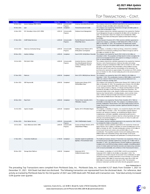| <b>Deal Date</b> | <b>Companies</b>                 | <b>Deal Size</b> | <b>Deal Status</b>       | <b>Investors</b>                                                                                         | <b>Deal Synopsis</b>                                                                                                                                                                                                                                                                                                                                                                                                                                                                                                                                                                                                                                                                                     |
|------------------|----------------------------------|------------------|--------------------------|----------------------------------------------------------------------------------------------------------|----------------------------------------------------------------------------------------------------------------------------------------------------------------------------------------------------------------------------------------------------------------------------------------------------------------------------------------------------------------------------------------------------------------------------------------------------------------------------------------------------------------------------------------------------------------------------------------------------------------------------------------------------------------------------------------------------------|
| 20-Dec-2021      | Hexion Holdings (PINX: HXOH)     | 2,000.00         | Announced/In<br>Progress | American Securities (Scott Wolff)                                                                        | The company entered into a definitive agreement to be acquired by American<br>Securities through a \$2 billion LBO on December 20, 2021.                                                                                                                                                                                                                                                                                                                                                                                                                                                                                                                                                                 |
| 05-Nov-2021      | Qad                              | 2,000.00         | Completed                | Thoma Bravo(Scott Crabill)                                                                               | The company w as acquired by Thoma Bravo through a \$2 billion public-to-<br>private LBO on November 5, 2021.                                                                                                                                                                                                                                                                                                                                                                                                                                                                                                                                                                                            |
| 14-Dec-2021      | R.R. Donnelley & Sons (NYS: RRD) | 1,955.23         | Announced/In<br>Progress | Chatham Asset Management                                                                                 | The company entered into a definitive agreement to be acquired by Chatham<br>Asset Management through an estimated \$1.96 billion LBO on December 14,<br>2021. The transaction values the company at an estimated \$2.3 billion.<br>JPMorgan Chase Bank and Macquarie Capital provided debt financing of<br>\$1.06 billion.                                                                                                                                                                                                                                                                                                                                                                              |
| 27-Dec-2021      | <b>CUSIP Global Services</b>     | 1,925.00         | Announced/In<br>Progress | FactSet Research Systems (NYS:<br>FDS)(Philip Snow)                                                      | FactSet Research Systems (NYS: FDS) reached a definitive agreement to<br>acquire the company, a subsidiary of S&P Global (NYS: SPGI), for \$1.93<br>billion on December 27, 2021. The acquisition will significantly expand<br>FactSet's critical role in the global capital markets, advancing its open data<br>strategy.                                                                                                                                                                                                                                                                                                                                                                               |
| 25-Oct-2021      | Clearw ay Community Energy       | 1,900.00         | Announced/In<br>Progress | Kohlberg Kravis Roberts (NYS:<br>KKR)(James Cunningham)                                                  | The company, a subsidiary of Clearw ay Energy, entered into a definitive<br>agreement to be acquired by Kohlberg Kravis Roberts through an LBO for<br>\$1.9 billion on October 25, 2021.                                                                                                                                                                                                                                                                                                                                                                                                                                                                                                                 |
| 09-Nov-2021      | Kadmon Holdings                  | 1,900.00         | Completed                | Sanofi (PAR: SAN) (Olivier Charmeil)                                                                     | The company w as acquired by Sanofi (PAR: SAN) for \$1.9 billion on<br>November 9, 2021. The acquisition w ill Help Sanofi to further strengthen the<br>grow th of its transplant business and supports its strategy to continue to<br>grow its General Medicines core assets.                                                                                                                                                                                                                                                                                                                                                                                                                           |
| 25-Oct-2021      | PAE (NAS: PAE)                   | 1,900.00         | Announced/In<br>Progress | Amentum Services, American<br>Securities (Benjamin Dickson),<br>Lindsay Goldberg(J. Russell<br>Triedman) | The company entered into a definitive agreement to be acquired by Amentum<br>Services, via its financial sponsors American Securities and Lindsay<br>Goldberg, through an estimated \$1.9 billion LBO on October 25, 2021. Under<br>the terms of the agreement, PAE shareholders will be entitled to receive<br>\$10.05 per share in cash upon the consummation of the transaction. The<br>purchase price represents an approximately 70% premium over PAE's closing<br>price on October 22, 2021, the last trading day prior to the announcement of<br>the transaction.                                                                                                                                 |
| 07-Dec-2021      | Pathw ire                        | 1,900.00         | Completed                | Sinch (STO: SINCH) (Oscar Werner)                                                                        | The company w as acquired by Sinch (STO: SINCH) for \$1.9 billion on<br>December 7, 2021. The consideration consists of \$925 million in cash and 51<br>million new shares in Sinch which will be issued and delivered in two<br>tranches in February and May 2022.                                                                                                                                                                                                                                                                                                                                                                                                                                      |
| 31-Dec-2021      | <b>GEP Haynesville</b>           | 1,850.00         | Completed                | Southw estern Energy (NYS:<br>SWN) (William Way)                                                         | The company w as acquired by Southw estern Energy (NYS: SWN) for \$1.85<br>billion on December 31, 2021. The acquisition price consists of \$1.325 billion<br>in cash and approximately \$525 million in Southw estern Energy common<br>shares. Bank of America, Citigroup, J.P. Morgan and Royal Bank of Canada<br>provided \$1.325 billion of loan financing to support the transaction. The<br>transaction builds further scale, deepens Southw estern Energy's inventory,<br>improves key financial metrics, including margins, returns and per-share<br>ratios, fortifies its financial strength and enhances its presence in the<br>Haynesville and Middle Bossier shale plays in North Louisiana. |
| 30-Dec-2021      | PeproTech                        | 1,850.00         | Completed                | Thermo Fisher Scientific (NYS:<br>TMO)(Marc Casper)                                                      | The company w as acquired by Thermo Fisher Scientific (NYS: TMO) for<br>\$1.85 billion on December 30, 2021. The company's recombinant proteins<br>portfolio complements Thermo Fisher's cell culture media products and will<br>enable Thermo Fisher to provide customers significant benefits through an<br>integrated of fering.                                                                                                                                                                                                                                                                                                                                                                      |
| 01-Oct-2021      | Appriss Insights                 | 1,825.00         | Completed                | Equifax (NYS: EFX) (Mark Begor)                                                                          | The company, a subsidiary of Appriss, w as acquired by Equifax (NYS: EFX)<br>for \$1825 million on October 1, 2021. The acquisition expands Equifax's<br>business unit, Workforce Solutions, by broadening the Equifax suite of<br>complementary verification capabilities, advancing the path tow ard a<br>comprehensive Workforce Solutions data hub, enhancing identity and fraud<br>offerings and positioning Equifax as the resource of choice for public and<br>private sector decision intelligence.                                                                                                                                                                                              |
| 03-Nov-2021      | Fenix Marine Service             | 1,800.00         | Announced/In<br>Progress | CMA CGM(Rodolphe Saadé)                                                                                  | The company reached a definitive agreement to be acquired by CMA CGM for<br>an estimated \$1.8 billion on November 3, 2021.                                                                                                                                                                                                                                                                                                                                                                                                                                                                                                                                                                              |
| 26-Oct-2021      | Oasis Midstream (NAS: OMP)       | 1,800.00         | Announced/In<br>Progress | Crestwood Equity Partners (NYS:<br>CEQP) (Robert Phillips)                                               | The company reached a definitive agreement to be acquired by Crestwood<br>Equity Partners (NYS: CEQP), a subsidiary of Crestw ood Midstream, for \$1.8<br>billion on October 26, 2021. The total consideration consists of 33.8 million of<br>new ly issued Crestw ood common units and \$160 million of cash<br>consideration. The acquisition expands Crestw ood's leading position in the<br>Williston Basin with substantial synergy value through current asset<br>connectivity and future integration and optimization of existing infrastructure.                                                                                                                                                 |
| 17-Dec-2021      | <b>TransUnion Healthcare</b>     | 1,735.00         | Completed                | Clearlake Capital Group(Behdad<br>Eghbali), nThrive(Hemant Goel)                                         | The healthcare business division of TransUnion w as acquired by nThrive, via<br>its financial sponsor Clearlake Capital Group, through a \$1.74 billion LBO on<br>December 17, 2021. The unified business will offer healthcare organizations<br>complete end-to-end RCM technology solutions available, streamlining patient<br>access for better patient and financial outcomes and empow ering customers<br>w ith increased predictability and confidence in their financial performance.                                                                                                                                                                                                             |
| 09-Dec-2021      | Storage West Platform            | 1,690.00         | Completed                | Cubesmart (NYS:<br>CUBE)(Christopher Marr)                                                               | The company, a subsidiary of LAACO (PINX: LAACZ) was acquired by<br>Cubesmart (NYS: CUBE) for \$1.69 billion on December 9, 2021. The<br>acquisition w as funded using the net proceeds from a combination of capital<br>raising transactions, including Cubesmart's recent offerings of 15,525,000<br>common shares, \$550 million of unsecured senior notes due in 2028, and<br>\$500 million of unsecured senior notes due in 2032. The transaction<br>enhances Cubesmart's portfolio and further diversify geographic exposure.                                                                                                                                                                      |

#### *Source: Pitchbbook Data, Inc.*

The preceding Top Transactions were compiled from Pitchbook Data, Inc. Pitchbook Data, Inc. recorded 4,127 deals from October 1, 2021 to December 31, 2021. 824 Deals had deal size disclosed. The following transaction are represented from the disclosed deals. For reference, deal activity as tracked by Pitchbook Data for the 3rd quarter of 2021 was 3,909 deals with 794 deals with transaction size. Total deal activity increased 5.6% quarter over quarter.